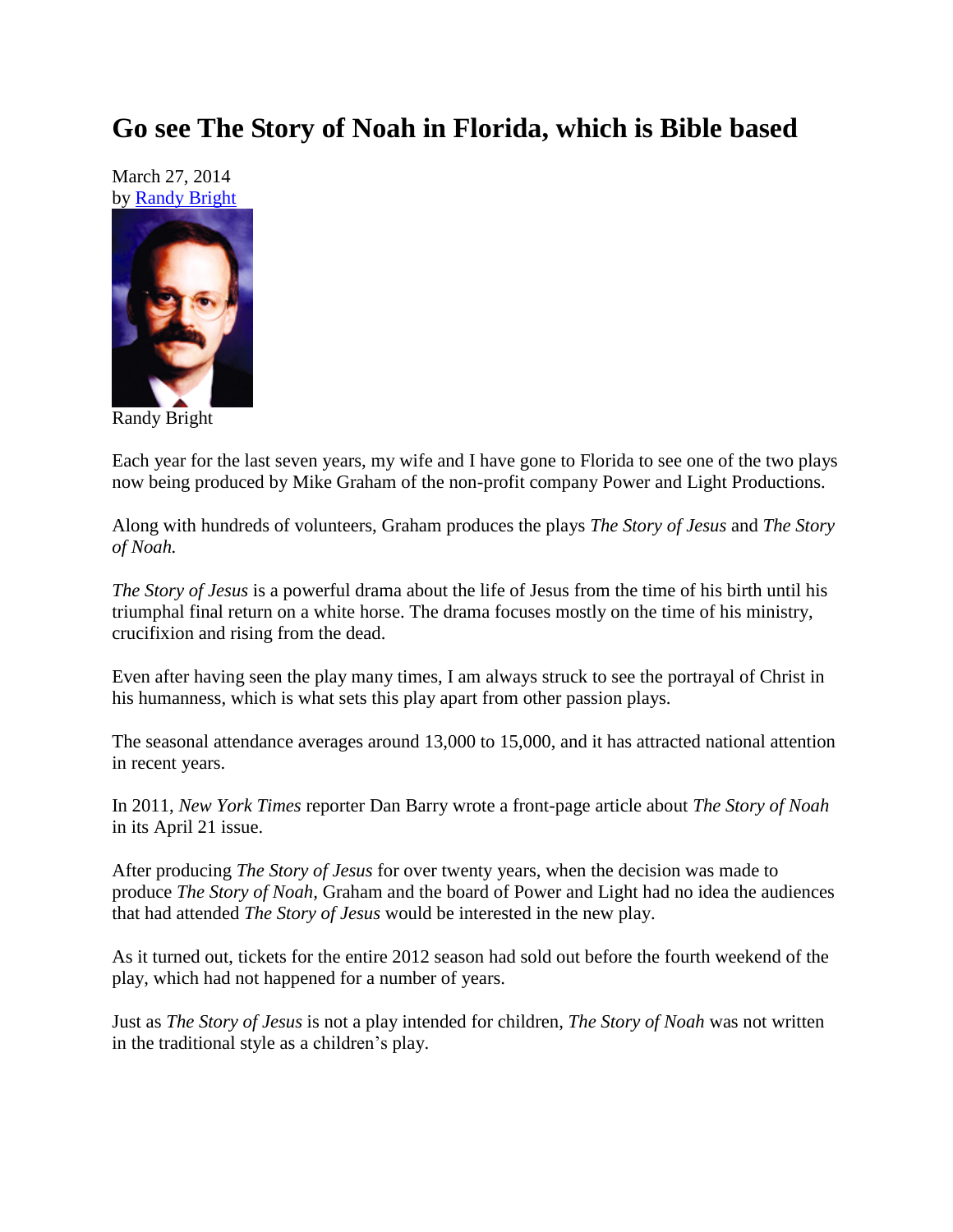## **Go see The Story of Noah in Florida, which is Bible based**

March 27, 2014 by [Randy Bright](http://tulsabeacon.com/writers/randy-bright/)



Randy Bright

Each year for the last seven years, my wife and I have gone to Florida to see one of the two plays now being produced by Mike Graham of the non-profit company Power and Light Productions.

Along with hundreds of volunteers, Graham produces the plays *The Story of Jesus* and *The Story of Noah.*

*The Story of Jesus* is a powerful drama about the life of Jesus from the time of his birth until his triumphal final return on a white horse. The drama focuses mostly on the time of his ministry, crucifixion and rising from the dead.

Even after having seen the play many times, I am always struck to see the portrayal of Christ in his humanness, which is what sets this play apart from other passion plays.

The seasonal attendance averages around 13,000 to 15,000, and it has attracted national attention in recent years.

In 2011, *New York Times* reporter Dan Barry wrote a front-page article about *The Story of Noah* in its April 21 issue.

After producing *The Story of Jesus* for over twenty years, when the decision was made to produce *The Story of Noah,* Graham and the board of Power and Light had no idea the audiences that had attended *The Story of Jesus* would be interested in the new play.

As it turned out, tickets for the entire 2012 season had sold out before the fourth weekend of the play, which had not happened for a number of years.

Just as *The Story of Jesus* is not a play intended for children, *The Story of Noah* was not written in the traditional style as a children"s play.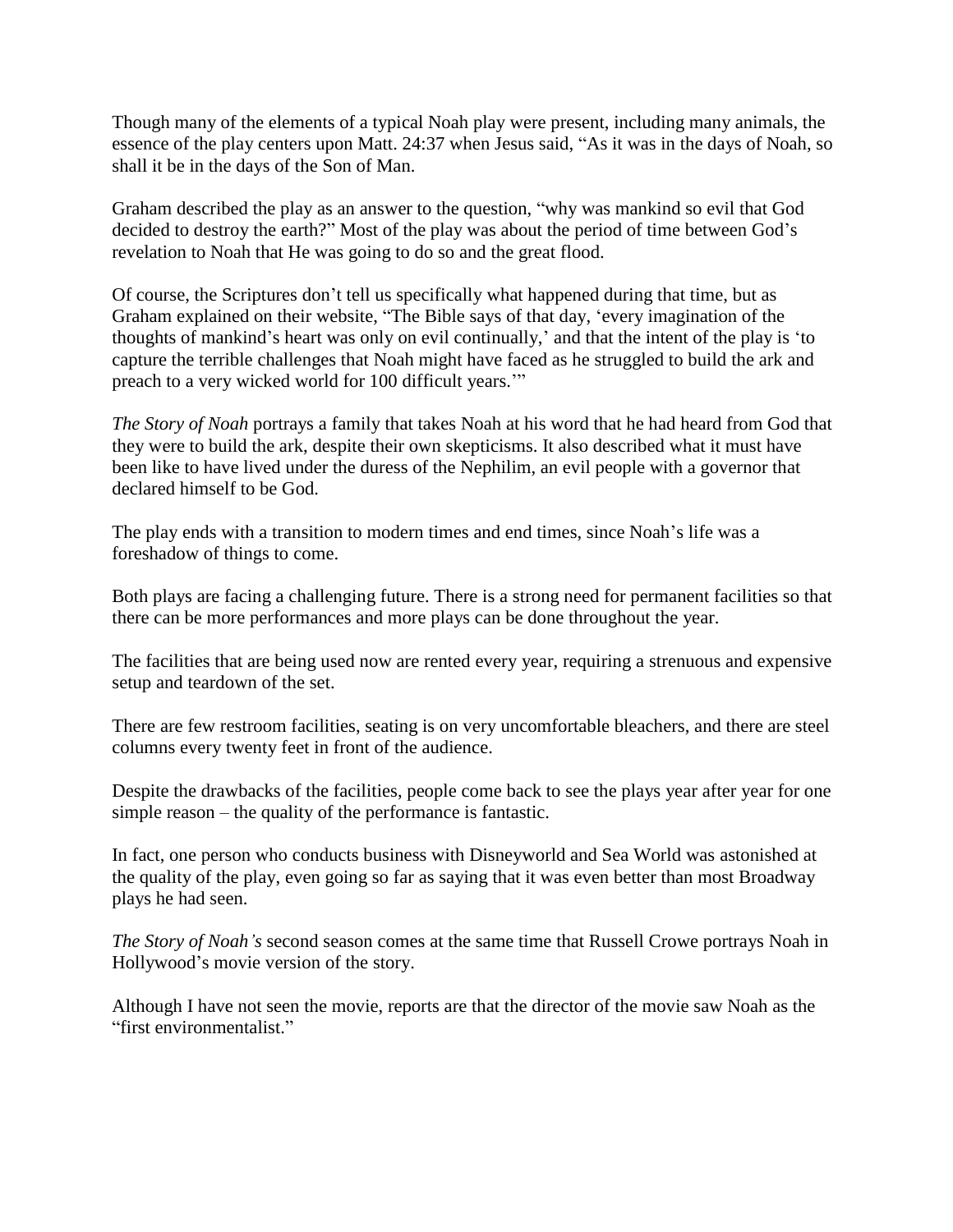Though many of the elements of a typical Noah play were present, including many animals, the essence of the play centers upon Matt. 24:37 when Jesus said, "As it was in the days of Noah, so shall it be in the days of the Son of Man.

Graham described the play as an answer to the question, "why was mankind so evil that God decided to destroy the earth?" Most of the play was about the period of time between God's revelation to Noah that He was going to do so and the great flood.

Of course, the Scriptures don"t tell us specifically what happened during that time, but as Graham explained on their website, "The Bible says of that day, "every imagination of the thoughts of mankind"s heart was only on evil continually," and that the intent of the play is "to capture the terrible challenges that Noah might have faced as he struggled to build the ark and preach to a very wicked world for 100 difficult years.""

*The Story of Noah* portrays a family that takes Noah at his word that he had heard from God that they were to build the ark, despite their own skepticisms. It also described what it must have been like to have lived under the duress of the Nephilim, an evil people with a governor that declared himself to be God.

The play ends with a transition to modern times and end times, since Noah"s life was a foreshadow of things to come.

Both plays are facing a challenging future. There is a strong need for permanent facilities so that there can be more performances and more plays can be done throughout the year.

The facilities that are being used now are rented every year, requiring a strenuous and expensive setup and teardown of the set.

There are few restroom facilities, seating is on very uncomfortable bleachers, and there are steel columns every twenty feet in front of the audience.

Despite the drawbacks of the facilities, people come back to see the plays year after year for one simple reason – the quality of the performance is fantastic.

In fact, one person who conducts business with Disneyworld and Sea World was astonished at the quality of the play, even going so far as saying that it was even better than most Broadway plays he had seen.

*The Story of Noah's* second season comes at the same time that Russell Crowe portrays Noah in Hollywood"s movie version of the story.

Although I have not seen the movie, reports are that the director of the movie saw Noah as the "first environmentalist."